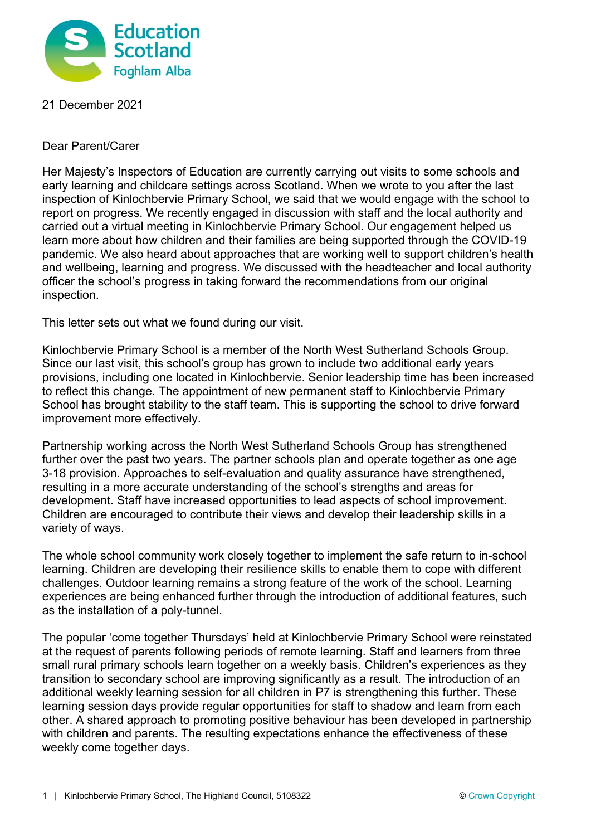

21 December 2021

Dear Parent/Carer

Her Majesty's Inspectors of Education are currently carrying out visits to some schools and early learning and childcare settings across Scotland. When we wrote to you after the last inspection of Kinlochbervie Primary School, we said that we would engage with the school to report on progress. We recently engaged in discussion with staff and the local authority and carried out a virtual meeting in Kinlochbervie Primary School. Our engagement helped us learn more about how children and their families are being supported through the COVID-19 pandemic. We also heard about approaches that are working well to support children's health and wellbeing, learning and progress. We discussed with the headteacher and local authority officer the school's progress in taking forward the recommendations from our original inspection.

This letter sets out what we found during our visit.

Kinlochbervie Primary School is a member of the North West Sutherland Schools Group. Since our last visit, this school's group has grown to include two additional early years provisions, including one located in Kinlochbervie. Senior leadership time has been increased to reflect this change. The appointment of new permanent staff to Kinlochbervie Primary School has brought stability to the staff team. This is supporting the school to drive forward improvement more effectively.

Partnership working across the North West Sutherland Schools Group has strengthened further over the past two years. The partner schools plan and operate together as one age 3-18 provision. Approaches to self-evaluation and quality assurance have strengthened, resulting in a more accurate understanding of the school's strengths and areas for development. Staff have increased opportunities to lead aspects of school improvement. Children are encouraged to contribute their views and develop their leadership skills in a variety of ways.

The whole school community work closely together to implement the safe return to in-school learning. Children are developing their resilience skills to enable them to cope with different challenges. Outdoor learning remains a strong feature of the work of the school. Learning experiences are being enhanced further through the introduction of additional features, such as the installation of a poly-tunnel.

The popular 'come together Thursdays' held at Kinlochbervie Primary School were reinstated at the request of parents following periods of remote learning. Staff and learners from three small rural primary schools learn together on a weekly basis. Children's experiences as they transition to secondary school are improving significantly as a result. The introduction of an additional weekly learning session for all children in P7 is strengthening this further. These learning session days provide regular opportunities for staff to shadow and learn from each other. A shared approach to promoting positive behaviour has been developed in partnership with children and parents. The resulting expectations enhance the effectiveness of these weekly come together days.